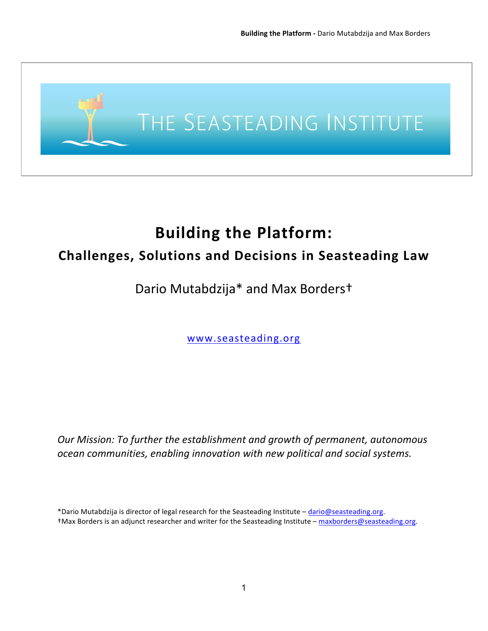

# **Building the Platform:**

# **Challenges, Solutions and Decisions in Seasteading Law**

# Dario Mutabdzija\* and Max Borderst

www.seasteading.org

*Our Mission: To further the establishment and growth of permanent, autonomous* ocean communities, enabling innovation with new political and social systems.

<sup>\*</sup>Dario Mutabdzija is director of legal research for the Seasteading Institute - dario@seasteading.org. +Max Borders is an adjunct researcher and writer for the Seasteading Institute - maxborders@seasteading.org.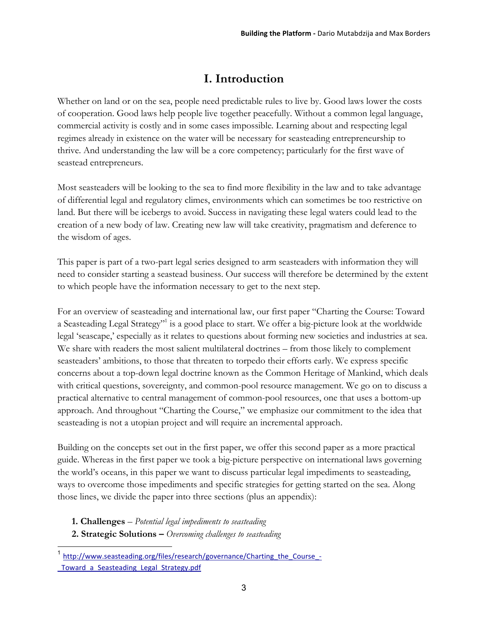# **I. Introduction**

Whether on land or on the sea, people need predictable rules to live by. Good laws lower the costs of cooperation. Good laws help people live together peacefully. Without a common legal language, commercial activity is costly and in some cases impossible*.* Learning about and respecting legal regimes already in existence on the water will be necessary for seasteading entrepreneurship to thrive. And understanding the law will be a core competency; particularly for the first wave of seastead entrepreneurs.

Most seasteaders will be looking to the sea to find more flexibility in the law and to take advantage of differential legal and regulatory climes, environments which can sometimes be too restrictive on land. But there will be icebergs to avoid. Success in navigating these legal waters could lead to the creation of a new body of law. Creating new law will take creativity, pragmatism and deference to the wisdom of ages.

This paper is part of a two-part legal series designed to arm seasteaders with information they will need to consider starting a seastead business. Our success will therefore be determined by the extent to which people have the information necessary to get to the next step.

For an overview of seasteading and international law, our first paper "Charting the Course: Toward a Seasteading Legal Strategy"<sup>1</sup> is a good place to start. We offer a big-picture look at the worldwide legal 'seascape,' especially as it relates to questions about forming new societies and industries at sea. We share with readers the most salient multilateral doctrines – from those likely to complement seasteaders' ambitions, to those that threaten to torpedo their efforts early. We express specific concerns about a top-down legal doctrine known as the Common Heritage of Mankind, which deals with critical questions, sovereignty, and common-pool resource management. We go on to discuss a practical alternative to central management of common-pool resources, one that uses a bottom-up approach. And throughout "Charting the Course," we emphasize our commitment to the idea that seasteading is not a utopian project and will require an incremental approach.

Building on the concepts set out in the first paper, we offer this second paper as a more practical guide. Whereas in the first paper we took a big-picture perspective on international laws governing the world's oceans, in this paper we want to discuss particular legal impediments to seasteading, ways to overcome those impediments and specific strategies for getting started on the sea. Along those lines, we divide the paper into three sections (plus an appendix):

- **1. Challenges**  *Potential legal impediments to seasteading*
- **2. Strategic Solutions –** *Overcoming challenges to seasteading*

http://www.seasteading.org/files/research/governance/Charting\_the\_Course\_-Toward a Seasteading Legal Strategy.pdf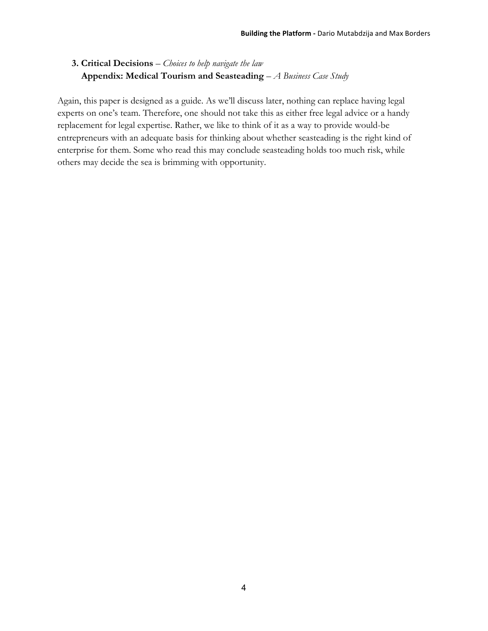**3. Critical Decisions** – *Choices to help navigate the law*  **Appendix: Medical Tourism and Seasteading** *– A Business Case Study*

Again, this paper is designed as a guide. As we'll discuss later, nothing can replace having legal experts on one's team. Therefore, one should not take this as either free legal advice or a handy replacement for legal expertise. Rather, we like to think of it as a way to provide would-be entrepreneurs with an adequate basis for thinking about whether seasteading is the right kind of enterprise for them. Some who read this may conclude seasteading holds too much risk, while others may decide the sea is brimming with opportunity.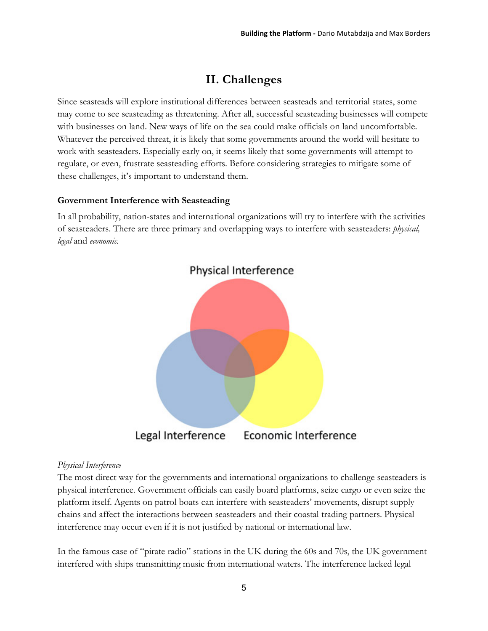## **II. Challenges**

Since seasteads will explore institutional differences between seasteads and territorial states, some may come to see seasteading as threatening. After all, successful seasteading businesses will compete with businesses on land. New ways of life on the sea could make officials on land uncomfortable. Whatever the perceived threat, it is likely that some governments around the world will hesitate to work with seasteaders. Especially early on, it seems likely that some governments will attempt to regulate, or even, frustrate seasteading efforts. Before considering strategies to mitigate some of these challenges, it's important to understand them.

#### **Government Interference with Seasteading**

In all probability, nation-states and international organizations will try to interfere with the activities of seasteaders. There are three primary and overlapping ways to interfere with seasteaders: *physical, legal* and *economic.*



## *Physical Interference*

The most direct way for the governments and international organizations to challenge seasteaders is physical interference*.* Government officials can easily board platforms, seize cargo or even seize the platform itself. Agents on patrol boats can interfere with seasteaders' movements, disrupt supply chains and affect the interactions between seasteaders and their coastal trading partners. Physical interference may occur even if it is not justified by national or international law.

In the famous case of "pirate radio" stations in the UK during the 60s and 70s, the UK government interfered with ships transmitting music from international waters. The interference lacked legal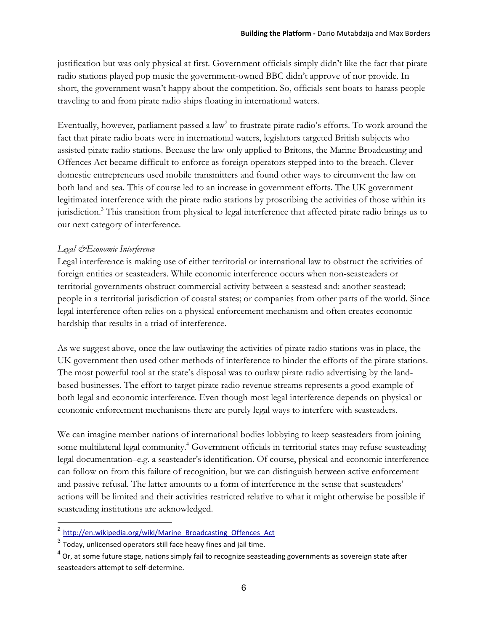justification but was only physical at first. Government officials simply didn't like the fact that pirate radio stations played pop music the government-owned BBC didn't approve of nor provide. In short, the government wasn't happy about the competition. So, officials sent boats to harass people traveling to and from pirate radio ships floating in international waters.

Eventually, however, parliament passed a law<sup>2</sup> to frustrate pirate radio's efforts. To work around the fact that pirate radio boats were in international waters, legislators targeted British subjects who assisted pirate radio stations. Because the law only applied to Britons, the Marine Broadcasting and Offences Act became difficult to enforce as foreign operators stepped into to the breach. Clever domestic entrepreneurs used mobile transmitters and found other ways to circumvent the law on both land and sea. This of course led to an increase in government efforts. The UK government legitimated interference with the pirate radio stations by proscribing the activities of those within its jurisdiction.3 This transition from physical to legal interference that affected pirate radio brings us to our next category of interference.

#### *Legal &Economic Interference*

Legal interference is making use of either territorial or international law to obstruct the activities of foreign entities or seasteaders. While economic interference occurs when non-seasteaders or territorial governments obstruct commercial activity between a seastead and: another seastead; people in a territorial jurisdiction of coastal states; or companies from other parts of the world. Since legal interference often relies on a physical enforcement mechanism and often creates economic hardship that results in a triad of interference.

As we suggest above, once the law outlawing the activities of pirate radio stations was in place, the UK government then used other methods of interference to hinder the efforts of the pirate stations. The most powerful tool at the state's disposal was to outlaw pirate radio advertising by the landbased businesses. The effort to target pirate radio revenue streams represents a good example of both legal and economic interference. Even though most legal interference depends on physical or economic enforcement mechanisms there are purely legal ways to interfere with seasteaders.

We can imagine member nations of international bodies lobbying to keep seasteaders from joining some multilateral legal community.<sup>4</sup> Government officials in territorial states may refuse seasteading legal documentation–e.g. a seasteader's identification. Of course, physical and economic interference can follow on from this failure of recognition, but we can distinguish between active enforcement and passive refusal. The latter amounts to a form of interference in the sense that seasteaders' actions will be limited and their activities restricted relative to what it might otherwise be possible if seasteading institutions are acknowledged.

<sup>&</sup>lt;sup>2</sup> http://en.wikipedia.org/wiki/Marine\_Broadcasting\_Offences\_Act

 $3$  Today, unlicensed operators still face heavy fines and jail time.

 $^4$  Or, at some future stage, nations simply fail to recognize seasteading governments as sovereign state after seasteaders attempt to self-determine.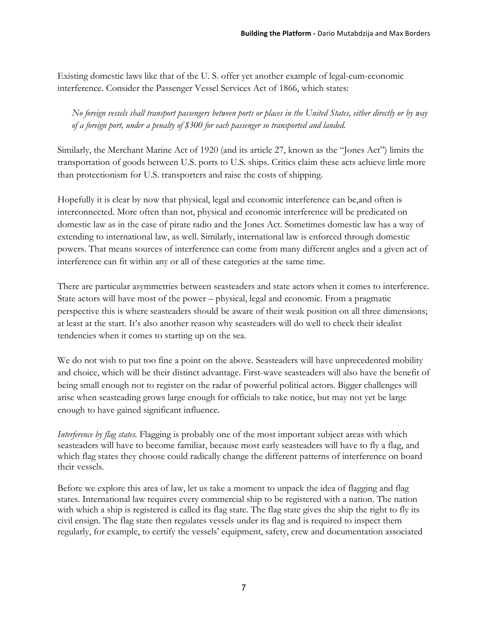Existing domestic laws like that of the U. S. offer yet another example of legal-cum-economic interference. Consider the Passenger Vessel Services Act of 1866, which states:

*No foreign vessels shall transport passengers between ports or places in the United States, either directly or by way of a foreign port, under a penalty of \$300 for each passenger so transported and landed.*

Similarly, the Merchant Marine Act of 1920 (and its article 27, known as the "Jones Act") limits the transportation of goods between U.S. ports to U.S. ships. Critics claim these acts achieve little more than protectionism for U.S. transporters and raise the costs of shipping.

Hopefully it is clear by now that physical, legal and economic interference can be,and often is interconnected. More often than not, physical and economic interference will be predicated on domestic law as in the case of pirate radio and the Jones Act. Sometimes domestic law has a way of extending to international law, as well. Similarly, international law is enforced through domestic powers. That means sources of interference can come from many different angles and a given act of interference can fit within any or all of these categories at the same time.

There are particular asymmetries between seasteaders and state actors when it comes to interference. State actors will have most of the power – physical, legal and economic. From a pragmatic perspective this is where seasteaders should be aware of their weak position on all three dimensions; at least at the start. It's also another reason why seasteaders will do well to check their idealist tendencies when it comes to starting up on the sea.

We do not wish to put too fine a point on the above. Seasteaders will have unprecedented mobility and choice, which will be their distinct advantage. First-wave seasteaders will also have the benefit of being small enough not to register on the radar of powerful political actors. Bigger challenges will arise when seasteading grows large enough for officials to take notice, but may not yet be large enough to have gained significant influence.

*Interference by flag states.* Flagging is probably one of the most important subject areas with which seasteaders will have to become familiar, because most early seasteaders will have to fly a flag, and which flag states they choose could radically change the different patterns of interference on board their vessels.

Before we explore this area of law, let us take a moment to unpack the idea of flagging and flag states. International law requires every commercial ship to be registered with a nation. The nation with which a ship is registered is called its flag state. The flag state gives the ship the right to fly its civil ensign. The flag state then regulates vessels under its flag and is required to inspect them regularly, for example, to certify the vessels' equipment, safety, crew and documentation associated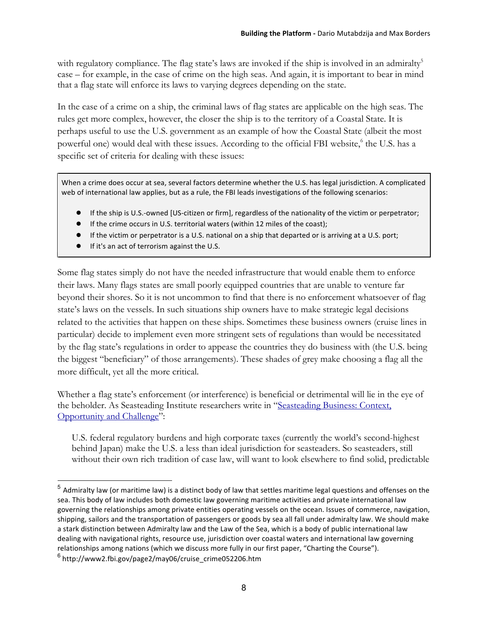with regulatory compliance. The flag state's laws are invoked if the ship is involved in an admiralty<sup>5</sup> case – for example, in the case of crime on the high seas. And again, it is important to bear in mind that a flag state will enforce its laws to varying degrees depending on the state.

In the case of a crime on a ship, the criminal laws of flag states are applicable on the high seas. The rules get more complex, however, the closer the ship is to the territory of a Coastal State. It is perhaps useful to use the U.S. government as an example of how the Coastal State (albeit the most powerful one) would deal with these issues. According to the official FBI website,<sup>6</sup> the U.S. has a specific set of criteria for dealing with these issues:

When a crime does occur at sea, several factors determine whether the U.S. has legal jurisdiction. A complicated web of international law applies, but as a rule, the FBI leads investigations of the following scenarios:

- If the ship is U.S.-owned [US-citizen or firm], regardless of the nationality of the victim or perpetrator;
- If the crime occurs in U.S. territorial waters (within 12 miles of the coast);
- If the victim or perpetrator is a U.S. national on a ship that departed or is arriving at a U.S. port;
- $\bullet$  If it's an act of terrorism against the U.S.

Some flag states simply do not have the needed infrastructure that would enable them to enforce their laws. Many flags states are small poorly equipped countries that are unable to venture far beyond their shores. So it is not uncommon to find that there is no enforcement whatsoever of flag state's laws on the vessels. In such situations ship owners have to make strategic legal decisions related to the activities that happen on these ships. Sometimes these business owners (cruise lines in particular) decide to implement even more stringent sets of regulations than would be necessitated by the flag state's regulations in order to appease the countries they do business with (the U.S. being the biggest "beneficiary" of those arrangements). These shades of grey make choosing a flag all the more difficult, yet all the more critical.

Whether a flag state's enforcement (or interference) is beneficial or detrimental will lie in the eye of the beholder. As Seasteading Institute researchers write in "Seasteading Business: Context, Opportunity and Challenge":

U.S. federal regulatory burdens and high corporate taxes (currently the world's second-highest behind Japan) make the U.S. a less than ideal jurisdiction for seasteaders. So seasteaders, still without their own rich tradition of case law, will want to look elsewhere to find solid, predictable

 $5$  Admiralty law (or maritime law) is a distinct body of law that settles maritime legal questions and offenses on the sea. This body of law includes both domestic law governing maritime activities and private international law governing the relationships among private entities operating vessels on the ocean. Issues of commerce, navigation, shipping, sailors and the transportation of passengers or goods by sea all fall under admiralty law. We should make a stark distinction between Admiralty law and the Law of the Sea, which is a body of public international law dealing with navigational rights, resource use, jurisdiction over coastal waters and international law governing relationships among nations (which we discuss more fully in our first paper, "Charting the Course").

<sup>&</sup>lt;sup>6</sup> http://www2.fbi.gov/page2/may06/cruise\_crime052206.htm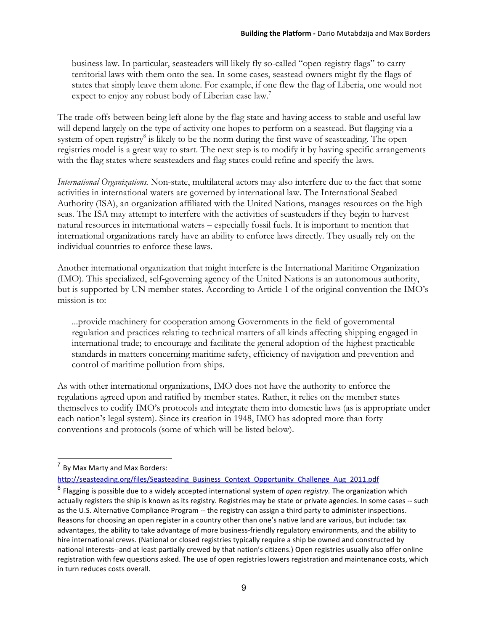business law. In particular, seasteaders will likely fly so-called "open registry flags" to carry territorial laws with them onto the sea. In some cases, seastead owners might fly the flags of states that simply leave them alone. For example, if one flew the flag of Liberia, one would not expect to enjoy any robust body of Liberian case law.<sup>7</sup>

The trade-offs between being left alone by the flag state and having access to stable and useful law will depend largely on the type of activity one hopes to perform on a seastead. But flagging via a system of open registry<sup>8</sup> is likely to be the norm during the first wave of seasteading. The open registries model is a great way to start. The next step is to modify it by having specific arrangements with the flag states where seasteaders and flag states could refine and specify the laws.

*International Organizations.* Non-state, multilateral actors may also interfere due to the fact that some activities in international waters are governed by international law. The International Seabed Authority (ISA), an organization affiliated with the United Nations, manages resources on the high seas. The ISA may attempt to interfere with the activities of seasteaders if they begin to harvest natural resources in international waters – especially fossil fuels. It is important to mention that international organizations rarely have an ability to enforce laws directly. They usually rely on the individual countries to enforce these laws.

Another international organization that might interfere is the International Maritime Organization (IMO). This specialized, self-governing agency of the United Nations is an autonomous authority, but is supported by UN member states. According to Article 1 of the original convention the IMO's mission is to:

...provide machinery for cooperation among Governments in the field of governmental regulation and practices relating to technical matters of all kinds affecting shipping engaged in international trade; to encourage and facilitate the general adoption of the highest practicable standards in matters concerning maritime safety, efficiency of navigation and prevention and control of maritime pollution from ships.

As with other international organizations, IMO does not have the authority to enforce the regulations agreed upon and ratified by member states. Rather, it relies on the member states themselves to codify IMO's protocols and integrate them into domestic laws (as is appropriate under each nation's legal system). Since its creation in 1948, IMO has adopted more than forty conventions and protocols (some of which will be listed below).

 $<sup>7</sup>$  By Max Marty and Max Borders:</sup>

http://seasteading.org/files/Seasteading\_Business\_Context\_Opportunity\_Challenge\_Aug\_2011.pdf

<sup>&</sup>lt;sup>8</sup> Flagging is possible due to a widely accepted international system of *open registry*. The organization which actually registers the ship is known as its registry. Registries may be state or private agencies. In some cases -- such as the U.S. Alternative Compliance Program -- the registry can assign a third party to administer inspections. Reasons for choosing an open register in a country other than one's native land are various, but include: tax advantages, the ability to take advantage of more business-friendly regulatory environments, and the ability to hire international crews. (National or closed registries typically require a ship be owned and constructed by national interests--and at least partially crewed by that nation's citizens.) Open registries usually also offer online registration with few questions asked. The use of open registries lowers registration and maintenance costs, which in turn reduces costs overall.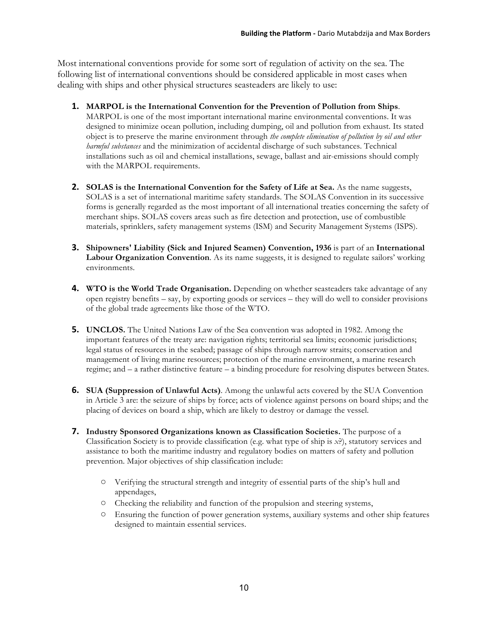Most international conventions provide for some sort of regulation of activity on the sea. The following list of international conventions should be considered applicable in most cases when dealing with ships and other physical structures seasteaders are likely to use:

- **1. MARPOL is the International Convention for the Prevention of Pollution from Ships**. MARPOL is one of the most important international marine environmental conventions. It was designed to minimize ocean pollution, including dumping, oil and pollution from exhaust. Its stated object is to preserve the marine environment through *the complete elimination of pollution by oil and other harmful substances* and the minimization of accidental discharge of such substances. Technical installations such as oil and chemical installations, sewage, ballast and air-emissions should comply with the MARPOL requirements.
- **2. SOLAS is the International Convention for the Safety of Life at Sea.** As the name suggests, SOLAS is a set of international maritime safety standards. The SOLAS Convention in its successive forms is generally regarded as the most important of all international treaties concerning the safety of merchant ships. SOLAS covers areas such as fire detection and protection, use of combustible materials, sprinklers, safety management systems (ISM) and Security Management Systems (ISPS).
- **3. Shipowners' Liability (Sick and Injured Seamen) Convention, 1936** is part of an **International Labour Organization Convention**. As its name suggests, it is designed to regulate sailors' working environments.
- **4. WTO is the World Trade Organisation.** Depending on whether seasteaders take advantage of any open registry benefits – say, by exporting goods or services – they will do well to consider provisions of the global trade agreements like those of the WTO.
- **5. UNCLOS.** The United Nations Law of the Sea convention was adopted in 1982. Among the important features of the treaty are: navigation rights; territorial sea limits; economic jurisdictions; legal status of resources in the seabed; passage of ships through narrow straits; conservation and management of living marine resources; protection of the marine environment, a marine research regime; and – a rather distinctive feature – a binding procedure for resolving disputes between States.
- **6. SUA (Suppression of Unlawful Acts)**. Among the unlawful acts covered by the SUA Convention in Article 3 are: the seizure of ships by force; acts of violence against persons on board ships; and the placing of devices on board a ship, which are likely to destroy or damage the vessel.
- **7. Industry Sponsored Organizations known as Classification Societies.** The purpose of a Classification Society is to provide classification (e.g. what type of ship is *x*?), statutory services and assistance to both the maritime industry and regulatory bodies on matters of safety and pollution prevention. Major objectives of ship classification include:
	- Verifying the structural strength and integrity of essential parts of the ship's hull and appendages,
	- Checking the reliability and function of the propulsion and steering systems,
	- Ensuring the function of power generation systems, auxiliary systems and other ship features designed to maintain essential services.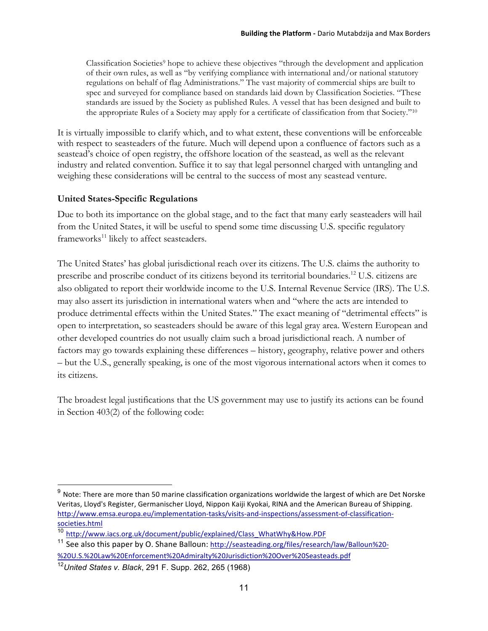Classification Societies<sup>9</sup> hope to achieve these objectives "through the development and application of their own rules, as well as "by verifying compliance with international and/or national statutory regulations on behalf of flag Administrations." The vast majority of commercial ships are built to spec and surveyed for compliance based on standards laid down by Classification Societies. "These standards are issued by the Society as published Rules. A vessel that has been designed and built to the appropriate Rules of a Society may apply for a certificate of classification from that Society."10

It is virtually impossible to clarify which, and to what extent, these conventions will be enforceable with respect to seasteaders of the future. Much will depend upon a confluence of factors such as a seastead's choice of open registry, the offshore location of the seastead, as well as the relevant industry and related convention. Suffice it to say that legal personnel charged with untangling and weighing these considerations will be central to the success of most any seastead venture.

## **United States-Specific Regulations**

Due to both its importance on the global stage, and to the fact that many early seasteaders will hail from the United States, it will be useful to spend some time discussing U.S. specific regulatory frameworks<sup>11</sup> likely to affect seasteaders.

The United States' has global jurisdictional reach over its citizens. The U.S. claims the authority to prescribe and proscribe conduct of its citizens beyond its territorial boundaries.12 U.S. citizens are also obligated to report their worldwide income to the U.S. Internal Revenue Service (IRS). The U.S. may also assert its jurisdiction in international waters when and "where the acts are intended to produce detrimental effects within the United States." The exact meaning of "detrimental effects" is open to interpretation, so seasteaders should be aware of this legal gray area. Western European and other developed countries do not usually claim such a broad jurisdictional reach. A number of factors may go towards explaining these differences – history, geography, relative power and others – but the U.S., generally speaking, is one of the most vigorous international actors when it comes to its citizens.

The broadest legal justifications that the US government may use to justify its actions can be found in Section 403(2) of the following code:

 $9$  Note: There are more than 50 marine classification organizations worldwide the largest of which are Det Norske Veritas, Lloyd's Register, Germanischer Lloyd, Nippon Kaiji Kyokai, RINA and the American Bureau of Shipping. http://www.emsa.europa.eu/implementation-tasks/visits-and-inspections/assessment-of-classificationsocieties.html

http://www.iacs.org.uk/document/public/explained/Class\_WhatWhy&How.PDF

<sup>&</sup>lt;sup>11</sup> See also this paper by O. Shane Balloun: http://seasteading.org/files/research/law/Balloun%20-%20U.S.%20Law%20Enforcement%20Admiralty%20Jurisdiction%20Over%20Seasteads.pdf

<sup>12</sup>*United States v. Black*, 291 F. Supp. 262, 265 (1968)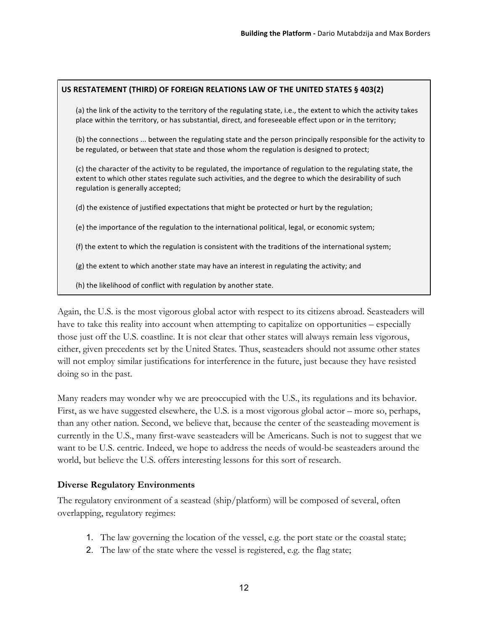#### US RESTATEMENT (THIRD) OF FOREIGN RELATIONS LAW OF THE UNITED STATES § 403(2)

(a) the link of the activity to the territory of the regulating state, i.e., the extent to which the activity takes place within the territory, or has substantial, direct, and foreseeable effect upon or in the territory;

(b) the connections ... between the regulating state and the person principally responsible for the activity to be regulated, or between that state and those whom the regulation is designed to protect;

(c) the character of the activity to be regulated, the importance of regulation to the regulating state, the extent to which other states regulate such activities, and the degree to which the desirability of such regulation is generally accepted;

(d) the existence of justified expectations that might be protected or hurt by the regulation;

(e) the importance of the regulation to the international political, legal, or economic system;

- (f) the extent to which the regulation is consistent with the traditions of the international system;
- $(g)$  the extent to which another state may have an interest in regulating the activity; and
- (h) the likelihood of conflict with regulation by another state.

Again, the U.S. is the most vigorous global actor with respect to its citizens abroad. Seasteaders will have to take this reality into account when attempting to capitalize on opportunities – especially those just off the U.S. coastline. It is not clear that other states will always remain less vigorous, either, given precedents set by the United States. Thus, seasteaders should not assume other states will not employ similar justifications for interference in the future, just because they have resisted doing so in the past.

Many readers may wonder why we are preoccupied with the U.S., its regulations and its behavior. First, as we have suggested elsewhere, the U.S. is a most vigorous global actor – more so, perhaps, than any other nation. Second, we believe that, because the center of the seasteading movement is currently in the U.S., many first-wave seasteaders will be Americans. Such is not to suggest that we want to be U.S. centric. Indeed, we hope to address the needs of would-be seasteaders around the world, but believe the U.S. offers interesting lessons for this sort of research.

#### **Diverse Regulatory Environments**

The regulatory environment of a seastead (ship/platform) will be composed of several, often overlapping, regulatory regimes:

- 1. The law governing the location of the vessel, e.g. the port state or the coastal state;
- 2. The law of the state where the vessel is registered, e.g. the flag state;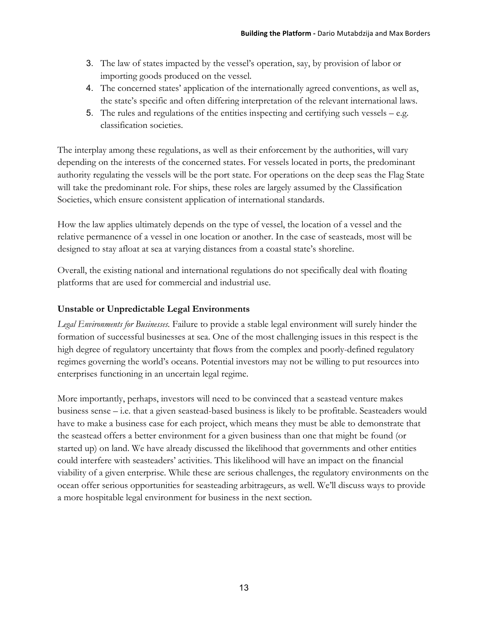- 3. The law of states impacted by the vessel's operation, say, by provision of labor or importing goods produced on the vessel.
- 4. The concerned states' application of the internationally agreed conventions, as well as, the state's specific and often differing interpretation of the relevant international laws.
- 5. The rules and regulations of the entities inspecting and certifying such vessels  $-e.g.$ classification societies.

The interplay among these regulations, as well as their enforcement by the authorities, will vary depending on the interests of the concerned states. For vessels located in ports, the predominant authority regulating the vessels will be the port state. For operations on the deep seas the Flag State will take the predominant role. For ships, these roles are largely assumed by the Classification Societies, which ensure consistent application of international standards.

How the law applies ultimately depends on the type of vessel, the location of a vessel and the relative permanence of a vessel in one location or another. In the case of seasteads, most will be designed to stay afloat at sea at varying distances from a coastal state's shoreline.

Overall, the existing national and international regulations do not specifically deal with floating platforms that are used for commercial and industrial use.

## **Unstable or Unpredictable Legal Environments**

*Legal Environments for Businesses.* Failure to provide a stable legal environment will surely hinder the formation of successful businesses at sea. One of the most challenging issues in this respect is the high degree of regulatory uncertainty that flows from the complex and poorly-defined regulatory regimes governing the world's oceans. Potential investors may not be willing to put resources into enterprises functioning in an uncertain legal regime.

More importantly, perhaps, investors will need to be convinced that a seastead venture makes business sense – i.e. that a given seastead-based business is likely to be profitable. Seasteaders would have to make a business case for each project, which means they must be able to demonstrate that the seastead offers a better environment for a given business than one that might be found (or started up) on land. We have already discussed the likelihood that governments and other entities could interfere with seasteaders' activities. This likelihood will have an impact on the financial viability of a given enterprise. While these are serious challenges, the regulatory environments on the ocean offer serious opportunities for seasteading arbitrageurs, as well. We'll discuss ways to provide a more hospitable legal environment for business in the next section.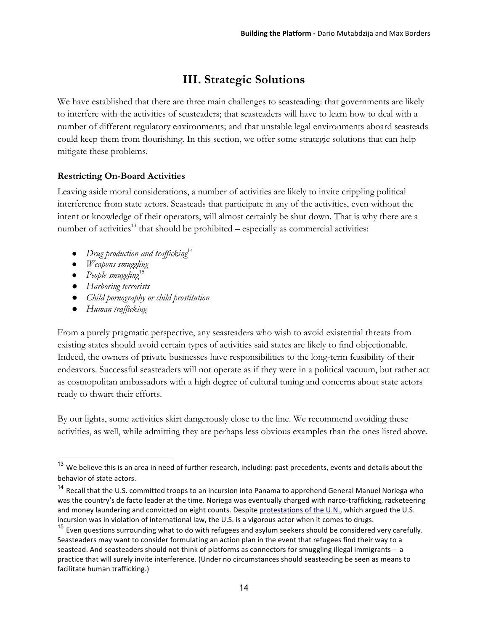# **III. Strategic Solutions**

We have established that there are three main challenges to seasteading: that governments are likely to interfere with the activities of seasteaders; that seasteaders will have to learn how to deal with a number of different regulatory environments; and that unstable legal environments aboard seasteads could keep them from flourishing. In this section, we offer some strategic solutions that can help mitigate these problems.

## **Restricting On-Board Activities**

Leaving aside moral considerations, a number of activities are likely to invite crippling political interference from state actors. Seasteads that participate in any of the activities, even without the intent or knowledge of their operators, will almost certainly be shut down. That is why there are a number of activities<sup>13</sup> that should be prohibited – especially as commercial activities:

- *Drug production and trafficking*<sup>14</sup>
- *Weapons smuggling*
- *People smuggling*<sup>15</sup>
- *● Harboring terrorists*
- *● Child pornography or child prostitution*
- *● Human trafficking*

From a purely pragmatic perspective, any seasteaders who wish to avoid existential threats from existing states should avoid certain types of activities said states are likely to find objectionable. Indeed, the owners of private businesses have responsibilities to the long-term feasibility of their endeavors. Successful seasteaders will not operate as if they were in a political vacuum, but rather act as cosmopolitan ambassadors with a high degree of cultural tuning and concerns about state actors ready to thwart their efforts.

By our lights, some activities skirt dangerously close to the line. We recommend avoiding these activities, as well, while admitting they are perhaps less obvious examples than the ones listed above.

 $13$  We believe this is an area in need of further research, including: past precedents, events and details about the behavior of state actors.

<sup>&</sup>lt;sup>14</sup> Recall that the U.S. committed troops to an incursion into Panama to apprehend General Manuel Noriega who was the country's de facto leader at the time. Noriega was eventually charged with narco-trafficking, racketeering and money laundering and convicted on eight counts. Despite protestations of the U.N., which argued the U.S. incursion was in violation of international law, the U.S. is a vigorous actor when it comes to drugs.

<sup>&</sup>lt;sup>15</sup> Even questions surrounding what to do with refugees and asylum seekers should be considered very carefully. Seasteaders may want to consider formulating an action plan in the event that refugees find their way to a seastead. And seasteaders should not think of platforms as connectors for smuggling illegal immigrants -- a practice that will surely invite interference. (Under no circumstances should seasteading be seen as means to facilitate human trafficking.)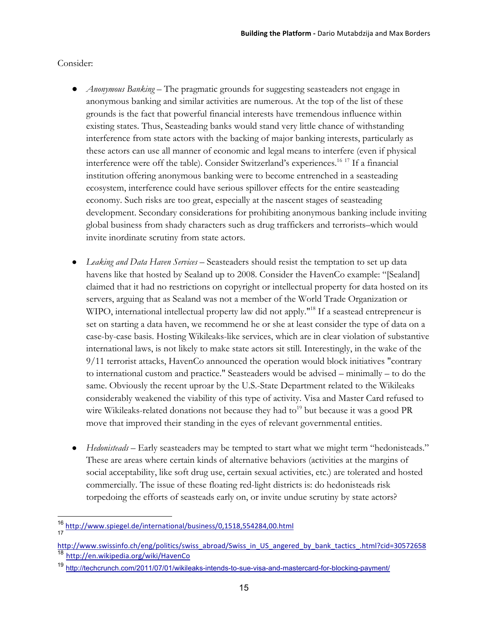#### Consider:

- *Anonymous Banking* The pragmatic grounds for suggesting seasteaders not engage in anonymous banking and similar activities are numerous. At the top of the list of these grounds is the fact that powerful financial interests have tremendous influence within existing states. Thus, Seasteading banks would stand very little chance of withstanding interference from state actors with the backing of major banking interests, particularly as these actors can use all manner of economic and legal means to interfere (even if physical interference were off the table). Consider Switzerland's experiences.<sup>16 17</sup> If a financial institution offering anonymous banking were to become entrenched in a seasteading ecosystem, interference could have serious spillover effects for the entire seasteading economy. Such risks are too great, especially at the nascent stages of seasteading development. Secondary considerations for prohibiting anonymous banking include inviting global business from shady characters such as drug traffickers and terrorists–which would invite inordinate scrutiny from state actors.
- Leaking and Data Haven Services Seasteaders should resist the temptation to set up data havens like that hosted by Sealand up to 2008. Consider the HavenCo example: "[Sealand] claimed that it had no restrictions on copyright or intellectual property for data hosted on its servers, arguing that as Sealand was not a member of the World Trade Organization or WIPO, international intellectual property law did not apply.<sup>"18</sup> If a seastead entrepreneur is set on starting a data haven, we recommend he or she at least consider the type of data on a case-by-case basis. Hosting Wikileaks-like services, which are in clear violation of substantive international laws, is not likely to make state actors sit still. Interestingly, in the wake of the 9/11 terrorist attacks, HavenCo announced the operation would block initiatives "contrary to international custom and practice." Seasteaders would be advised – minimally – to do the same. Obviously the recent uproar by the U.S.-State Department related to the Wikileaks considerably weakened the viability of this type of activity. Visa and Master Card refused to wire Wikileaks-related donations not because they had to<sup>19</sup> but because it was a good PR move that improved their standing in the eyes of relevant governmental entities.
- *Hedonisteads* Early seasteaders may be tempted to start what we might term "hedonisteads." These are areas where certain kinds of alternative behaviors (activities at the margins of social acceptability, like soft drug use, certain sexual activities, etc.) are tolerated and hosted commercially. The issue of these floating red-light districts is: do hedonisteads risk torpedoing the efforts of seasteads early on, or invite undue scrutiny by state actors?

 <sup>16</sup> http://www.spiegel.de/international/business/0,1518,554284,00.html 17

http://www.swissinfo.ch/eng/politics/swiss\_abroad/Swiss\_in\_US\_angered\_by\_bank\_tactics\_.html?cid=30572658 <sup>18</sup> http://en.wikipedia.org/wiki/HavenCo

<sup>19</sup> http://techcrunch.com/2011/07/01/wikileaks-intends-to-sue-visa-and-mastercard-for-blocking-payment/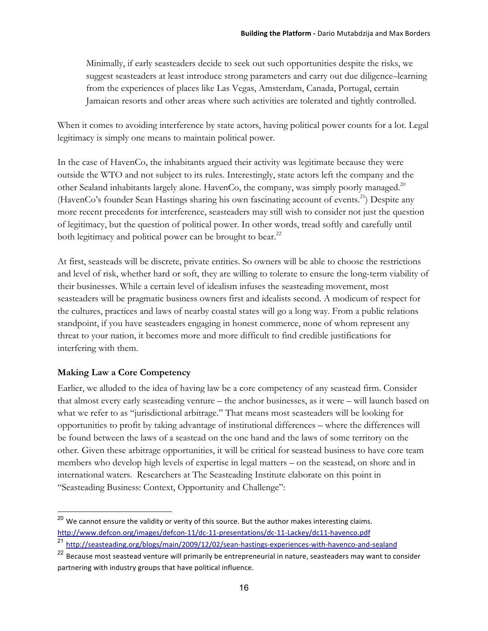Minimally, if early seasteaders decide to seek out such opportunities despite the risks, we suggest seasteaders at least introduce strong parameters and carry out due diligence–learning from the experiences of places like Las Vegas, Amsterdam, Canada, Portugal, certain Jamaican resorts and other areas where such activities are tolerated and tightly controlled.

When it comes to avoiding interference by state actors, having political power counts for a lot. Legal legitimacy is simply one means to maintain political power.

In the case of HavenCo, the inhabitants argued their activity was legitimate because they were outside the WTO and not subject to its rules. Interestingly, state actors left the company and the other Sealand inhabitants largely alone. HavenCo, the company, was simply poorly managed.20 (HavenCo's founder Sean Hastings sharing his own fascinating account of events.<sup>21</sup>) Despite any more recent precedents for interference, seasteaders may still wish to consider not just the question of legitimacy, but the question of political power. In other words, tread softly and carefully until both legitimacy and political power can be brought to bear.<sup>22</sup>

At first, seasteads will be discrete, private entities. So owners will be able to choose the restrictions and level of risk, whether hard or soft, they are willing to tolerate to ensure the long-term viability of their businesses. While a certain level of idealism infuses the seasteading movement, most seasteaders will be pragmatic business owners first and idealists second. A modicum of respect for the cultures, practices and laws of nearby coastal states will go a long way. From a public relations standpoint, if you have seasteaders engaging in honest commerce, none of whom represent any threat to your nation, it becomes more and more difficult to find credible justifications for interfering with them.

## **Making Law a Core Competency**

Earlier, we alluded to the idea of having law be a core competency of any seastead firm. Consider that almost every early seasteading venture – the anchor businesses, as it were – will launch based on what we refer to as "jurisdictional arbitrage." That means most seasteaders will be looking for opportunities to profit by taking advantage of institutional differences – where the differences will be found between the laws of a seastead on the one hand and the laws of some territory on the other. Given these arbitrage opportunities, it will be critical for seastead business to have core team members who develop high levels of expertise in legal matters – on the seastead, on shore and in international waters. Researchers at The Seasteading Institute elaborate on this point in "Seasteading Business: Context, Opportunity and Challenge":

<sup>&</sup>lt;sup>20</sup> We cannot ensure the validity or verity of this source. But the author makes interesting claims. http://www.defcon.org/images/defcon-11/dc-11-presentations/dc-11-Lackey/dc11-havenco.pdf <sup>21</sup> http://seasteading.org/blogs/main/2009/12/02/sean-hastings-experiences-with-havenco-and-sealand

<sup>&</sup>lt;sup>22</sup> Because most seastead venture will primarily be entrepreneurial in nature, seasteaders may want to consider partnering with industry groups that have political influence.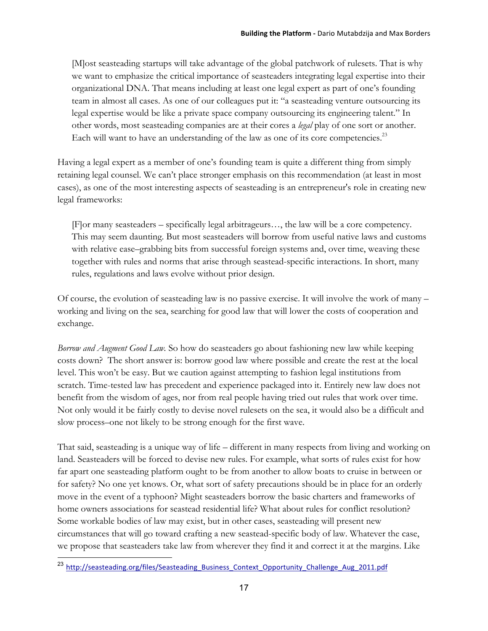[M]ost seasteading startups will take advantage of the global patchwork of rulesets. That is why we want to emphasize the critical importance of seasteaders integrating legal expertise into their organizational DNA. That means including at least one legal expert as part of one's founding team in almost all cases. As one of our colleagues put it: "a seasteading venture outsourcing its legal expertise would be like a private space company outsourcing its engineering talent." In other words, most seasteading companies are at their cores a *legal* play of one sort or another. Each will want to have an understanding of the law as one of its core competencies.<sup>23</sup>

Having a legal expert as a member of one's founding team is quite a different thing from simply retaining legal counsel. We can't place stronger emphasis on this recommendation (at least in most cases), as one of the most interesting aspects of seasteading is an entrepreneur's role in creating new legal frameworks:

[F]or many seasteaders – specifically legal arbitrageurs…, the law will be a core competency. This may seem daunting. But most seasteaders will borrow from useful native laws and customs with relative ease–grabbing bits from successful foreign systems and, over time, weaving these together with rules and norms that arise through seastead-specific interactions. In short, many rules, regulations and laws evolve without prior design.

Of course, the evolution of seasteading law is no passive exercise. It will involve the work of many – working and living on the sea, searching for good law that will lower the costs of cooperation and exchange.

*Borrow and Augment Good Law.* So how do seasteaders go about fashioning new law while keeping costs down? The short answer is: borrow good law where possible and create the rest at the local level. This won't be easy. But we caution against attempting to fashion legal institutions from scratch. Time-tested law has precedent and experience packaged into it. Entirely new law does not benefit from the wisdom of ages, nor from real people having tried out rules that work over time. Not only would it be fairly costly to devise novel rulesets on the sea, it would also be a difficult and slow process–one not likely to be strong enough for the first wave.

That said, seasteading is a unique way of life – different in many respects from living and working on land. Seasteaders will be forced to devise new rules. For example, what sorts of rules exist for how far apart one seasteading platform ought to be from another to allow boats to cruise in between or for safety? No one yet knows. Or, what sort of safety precautions should be in place for an orderly move in the event of a typhoon? Might seasteaders borrow the basic charters and frameworks of home owners associations for seastead residential life? What about rules for conflict resolution? Some workable bodies of law may exist, but in other cases, seasteading will present new circumstances that will go toward crafting a new seastead-specific body of law. Whatever the case, we propose that seasteaders take law from wherever they find it and correct it at the margins. Like

<sup>23</sup> http://seasteading.org/files/Seasteading\_Business\_Context\_Opportunity\_Challenge\_Aug\_2011.pdf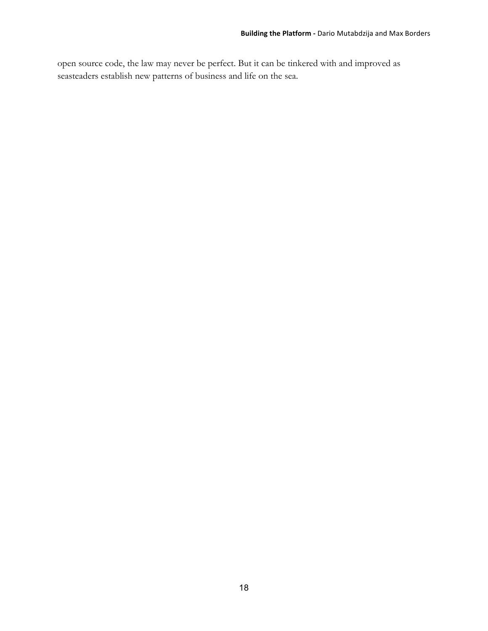open source code, the law may never be perfect. But it can be tinkered with and improved as seasteaders establish new patterns of business and life on the sea.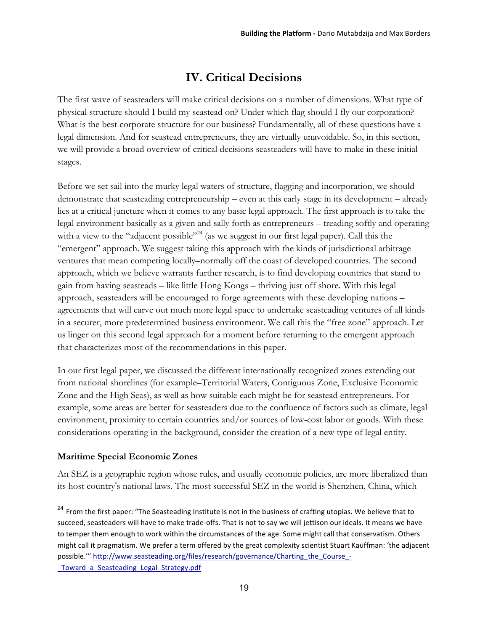## **IV. Critical Decisions**

The first wave of seasteaders will make critical decisions on a number of dimensions. What type of physical structure should I build my seastead on? Under which flag should I fly our corporation? What is the best corporate structure for our business? Fundamentally, all of these questions have a legal dimension. And for seastead entrepreneurs, they are virtually unavoidable. So, in this section, we will provide a broad overview of critical decisions seasteaders will have to make in these initial stages.

Before we set sail into the murky legal waters of structure, flagging and incorporation, we should demonstrate that seasteading entrepreneurship – even at this early stage in its development – already lies at a critical juncture when it comes to any basic legal approach. The first approach is to take the legal environment basically as a given and sally forth as entrepreneurs – treading softly and operating with a view to the "adjacent possible"<sup>24</sup> (as we suggest in our first legal paper). Call this the "emergent" approach. We suggest taking this approach with the kinds of jurisdictional arbitrage ventures that mean competing locally–normally off the coast of developed countries. The second approach, which we believe warrants further research, is to find developing countries that stand to gain from having seasteads – like little Hong Kongs – thriving just off shore. With this legal approach, seasteaders will be encouraged to forge agreements with these developing nations – agreements that will carve out much more legal space to undertake seasteading ventures of all kinds in a securer, more predetermined business environment. We call this the "free zone" approach. Let us linger on this second legal approach for a moment before returning to the emergent approach that characterizes most of the recommendations in this paper.

In our first legal paper, we discussed the different internationally recognized zones extending out from national shorelines (for example–Territorial Waters, Contiguous Zone, Exclusive Economic Zone and the High Seas), as well as how suitable each might be for seastead entrepreneurs. For example, some areas are better for seasteaders due to the confluence of factors such as climate, legal environment, proximity to certain countries and/or sources of low-cost labor or goods. With these considerations operating in the background, consider the creation of a new type of legal entity.

#### **Maritime Special Economic Zones**

An SEZ is a geographic region whose rules, and usually economic policies, are more liberalized than its host country's national laws. The most successful SEZ in the world is Shenzhen, China, which

<sup>&</sup>lt;sup>24</sup> From the first paper: "The Seasteading Institute is not in the business of crafting utopias. We believe that to succeed, seasteaders will have to make trade-offs. That is not to say we will jettison our ideals. It means we have to temper them enough to work within the circumstances of the age. Some might call that conservatism. Others might call it pragmatism. We prefer a term offered by the great complexity scientist Stuart Kauffman: 'the adjacent possible."" http://www.seasteading.org/files/research/governance/Charting\_the\_Course\_-\_Toward\_a\_Seasteading\_Legal\_Strategy.pdf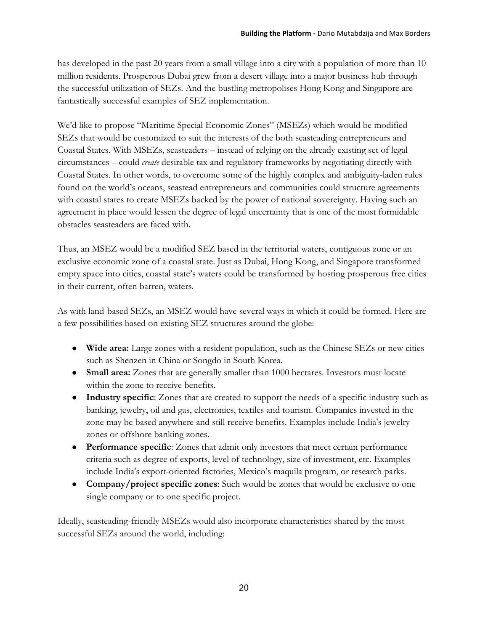has developed in the past 20 years from a small village into a city with a population of more than 10 million residents. Prosperous Dubai grew from a desert village into a major business hub through the successful utilization of SEZs. And the bustling metropolises Hong Kong and Singapore are fantastically successful examples of SEZ implementation.

We'd like to propose "Maritime Special Economic Zones" (MSEZs) which would be modified SEZs that would be customized to suit the interests of the both seasteading entrepreneurs and Coastal States. With MSEZs, seasteaders – instead of relying on the already existing set of legal circumstances – could *create* desirable tax and regulatory frameworks by negotiating directly with Coastal States. In other words, to overcome some of the highly complex and ambiguity-laden rules found on the world's oceans, seastead entrepreneurs and communities could structure agreements with coastal states to create MSEZs backed by the power of national sovereignty. Having such an agreement in place would lessen the degree of legal uncertainty that is one of the most formidable obstacles seasteaders are faced with.

Thus, an MSEZ would be a modified SEZ based in the territorial waters, contiguous zone or an exclusive economic zone of a coastal state. Just as Dubai, Hong Kong, and Singapore transformed empty space into cities, coastal state's waters could be transformed by hosting prosperous free cities in their current, often barren, waters.

As with land-based SEZs, an MSEZ would have several ways in which it could be formed. Here are a few possibilities based on existing SEZ structures around the globe:

- **Wide area:** Large zones with a resident population, such as the Chinese SEZs or new cities such as Shenzen in China or Songdo in South Korea.
- **Small area:** Zones that are generally smaller than 1000 hectares. Investors must locate within the zone to receive benefits.
- **Industry specific**: Zones that are created to support the needs of a specific industry such as banking, jewelry, oil and gas, electronics, textiles and tourism. Companies invested in the zone may be based anywhere and still receive benefits. Examples include India's jewelry zones or offshore banking zones.
- **Performance specific**: Zones that admit only investors that meet certain performance criteria such as degree of exports, level of technology, size of investment, etc. Examples include India's export-oriented factories, Mexico's maquila program, or research parks.
- **Company/project specific zones**: Such would be zones that would be exclusive to one single company or to one specific project.

Ideally, seasteading-friendly MSEZs would also incorporate characteristics shared by the most successful SEZs around the world, including: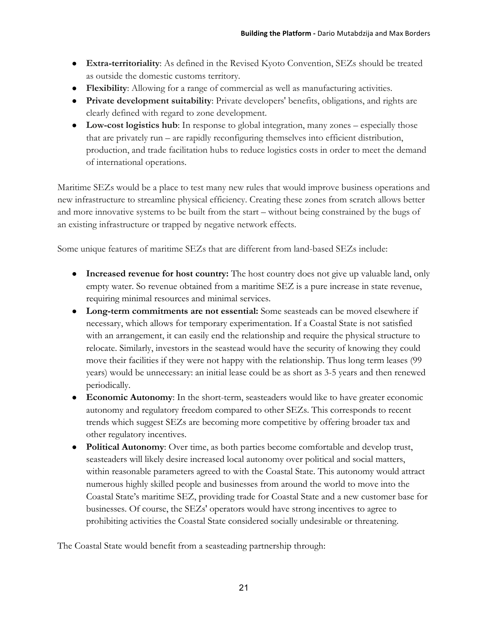- **Extra-territoriality**: As defined in the Revised Kyoto Convention, SEZs should be treated as outside the domestic customs territory.
- **Flexibility**: Allowing for a range of commercial as well as manufacturing activities.
- **Private development suitability**: Private developers' benefits, obligations, and rights are clearly defined with regard to zone development.
- Low-cost logistics hub: In response to global integration, many zones especially those that are privately run – are rapidly reconfiguring themselves into efficient distribution, production, and trade facilitation hubs to reduce logistics costs in order to meet the demand of international operations.

Maritime SEZs would be a place to test many new rules that would improve business operations and new infrastructure to streamline physical efficiency. Creating these zones from scratch allows better and more innovative systems to be built from the start – without being constrained by the bugs of an existing infrastructure or trapped by negative network effects.

Some unique features of maritime SEZs that are different from land-based SEZs include:

- **Increased revenue for host country:** The host country does not give up valuable land, only empty water. So revenue obtained from a maritime SEZ is a pure increase in state revenue, requiring minimal resources and minimal services.
- **Long-term commitments are not essential:** Some seasteads can be moved elsewhere if necessary, which allows for temporary experimentation. If a Coastal State is not satisfied with an arrangement, it can easily end the relationship and require the physical structure to relocate. Similarly, investors in the seastead would have the security of knowing they could move their facilities if they were not happy with the relationship. Thus long term leases (99 years) would be unnecessary: an initial lease could be as short as 3-5 years and then renewed periodically.
- **Economic Autonomy**: In the short-term, seasteaders would like to have greater economic autonomy and regulatory freedom compared to other SEZs. This corresponds to recent trends which suggest SEZs are becoming more competitive by offering broader tax and other regulatory incentives.
- **Political Autonomy**: Over time, as both parties become comfortable and develop trust, seasteaders will likely desire increased local autonomy over political and social matters, within reasonable parameters agreed to with the Coastal State. This autonomy would attract numerous highly skilled people and businesses from around the world to move into the Coastal State's maritime SEZ, providing trade for Coastal State and a new customer base for businesses. Of course, the SEZs' operators would have strong incentives to agree to prohibiting activities the Coastal State considered socially undesirable or threatening.

The Coastal State would benefit from a seasteading partnership through: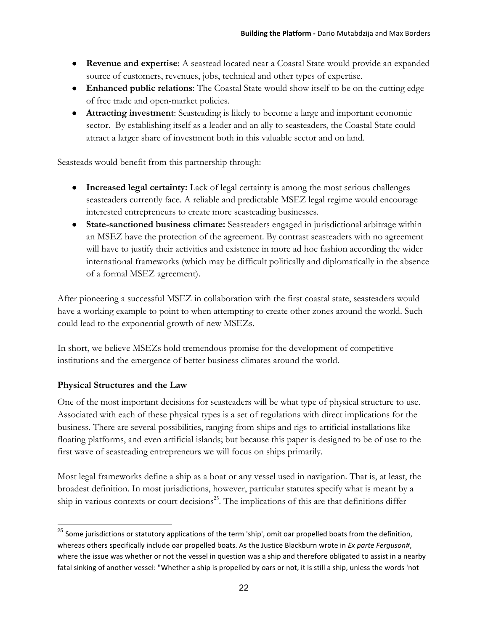- **Revenue and expertise**: A seastead located near a Coastal State would provide an expanded source of customers, revenues, jobs, technical and other types of expertise.
- **Enhanced public relations**: The Coastal State would show itself to be on the cutting edge of free trade and open-market policies.
- **Attracting investment**: Seasteading is likely to become a large and important economic sector. By establishing itself as a leader and an ally to seasteaders, the Coastal State could attract a larger share of investment both in this valuable sector and on land.

Seasteads would benefit from this partnership through:

- **Increased legal certainty:** Lack of legal certainty is among the most serious challenges seasteaders currently face. A reliable and predictable MSEZ legal regime would encourage interested entrepreneurs to create more seasteading businesses.
- **State-sanctioned business climate:** Seasteaders engaged in jurisdictional arbitrage within an MSEZ have the protection of the agreement. By contrast seasteaders with no agreement will have to justify their activities and existence in more ad hoc fashion according the wider international frameworks (which may be difficult politically and diplomatically in the absence of a formal MSEZ agreement).

After pioneering a successful MSEZ in collaboration with the first coastal state, seasteaders would have a working example to point to when attempting to create other zones around the world. Such could lead to the exponential growth of new MSEZs.

In short, we believe MSEZs hold tremendous promise for the development of competitive institutions and the emergence of better business climates around the world.

## **Physical Structures and the Law**

One of the most important decisions for seasteaders will be what type of physical structure to use. Associated with each of these physical types is a set of regulations with direct implications for the business. There are several possibilities, ranging from ships and rigs to artificial installations like floating platforms, and even artificial islands; but because this paper is designed to be of use to the first wave of seasteading entrepreneurs we will focus on ships primarily.

Most legal frameworks define a ship as a boat or any vessel used in navigation. That is, at least, the broadest definition. In most jurisdictions, however, particular statutes specify what is meant by a ship in various contexts or court decisions<sup>25</sup>. The implications of this are that definitions differ

<sup>&</sup>lt;sup>25</sup> Some jurisdictions or statutory applications of the term 'ship', omit oar propelled boats from the definition, whereas others specifically include oar propelled boats. As the Justice Blackburn wrote in Ex parte Ferguson#, where the issue was whether or not the vessel in question was a ship and therefore obligated to assist in a nearby fatal sinking of another vessel: "Whether a ship is propelled by oars or not, it is still a ship, unless the words 'not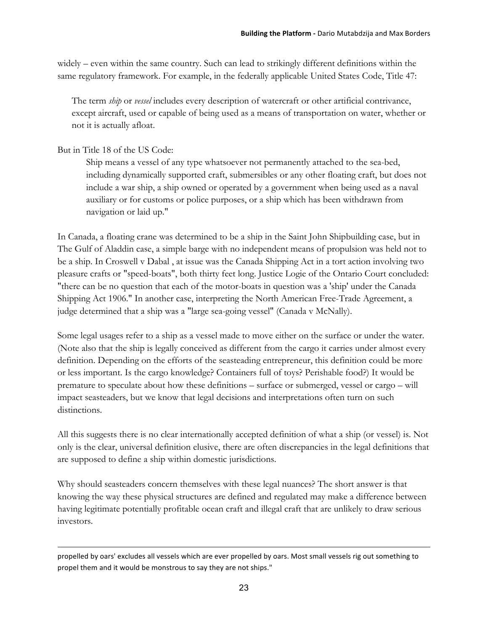widely – even within the same country. Such can lead to strikingly different definitions within the same regulatory framework. For example, in the federally applicable United States Code, Title 47:

The term *ship* or *vessel* includes every description of watercraft or other artificial contrivance, except aircraft, used or capable of being used as a means of transportation on water, whether or not it is actually afloat.

But in Title 18 of the US Code:

 $\overline{a}$ 

Ship means a vessel of any type whatsoever not permanently attached to the sea-bed, including dynamically supported craft, submersibles or any other floating craft, but does not include a war ship, a ship owned or operated by a government when being used as a naval auxiliary or for customs or police purposes, or a ship which has been withdrawn from navigation or laid up."

In Canada, a floating crane was determined to be a ship in the Saint John Shipbuilding case, but in The Gulf of Aladdin case, a simple barge with no independent means of propulsion was held not to be a ship. In Croswell v Dabal , at issue was the Canada Shipping Act in a tort action involving two pleasure crafts or "speed-boats", both thirty feet long. Justice Logie of the Ontario Court concluded: "there can be no question that each of the motor-boats in question was a 'ship' under the Canada Shipping Act 1906." In another case, interpreting the North American Free-Trade Agreement, a judge determined that a ship was a "large sea-going vessel" (Canada v McNally).

Some legal usages refer to a ship as a vessel made to move either on the surface or under the water. (Note also that the ship is legally conceived as different from the cargo it carries under almost every definition. Depending on the efforts of the seasteading entrepreneur, this definition could be more or less important. Is the cargo knowledge? Containers full of toys? Perishable food?) It would be premature to speculate about how these definitions – surface or submerged, vessel or cargo – will impact seasteaders, but we know that legal decisions and interpretations often turn on such distinctions.

All this suggests there is no clear internationally accepted definition of what a ship (or vessel) is. Not only is the clear, universal definition elusive, there are often discrepancies in the legal definitions that are supposed to define a ship within domestic jurisdictions.

Why should seasteaders concern themselves with these legal nuances? The short answer is that knowing the way these physical structures are defined and regulated may make a difference between having legitimate potentially profitable ocean craft and illegal craft that are unlikely to draw serious investors.

propelled by oars' excludes all vessels which are ever propelled by oars. Most small vessels rig out something to propel them and it would be monstrous to say they are not ships."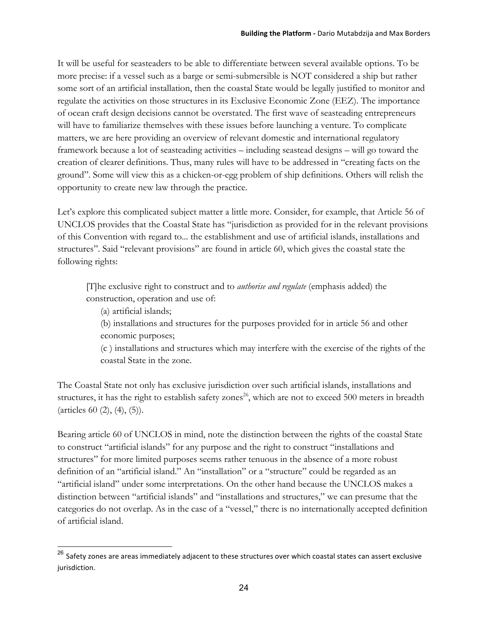It will be useful for seasteaders to be able to differentiate between several available options. To be more precise: if a vessel such as a barge or semi-submersible is NOT considered a ship but rather some sort of an artificial installation, then the coastal State would be legally justified to monitor and regulate the activities on those structures in its Exclusive Economic Zone (EEZ). The importance of ocean craft design decisions cannot be overstated. The first wave of seasteading entrepreneurs will have to familiarize themselves with these issues before launching a venture. To complicate matters, we are here providing an overview of relevant domestic and international regulatory framework because a lot of seasteading activities – including seastead designs – will go toward the creation of clearer definitions. Thus, many rules will have to be addressed in "creating facts on the ground". Some will view this as a chicken-or-egg problem of ship definitions. Others will relish the opportunity to create new law through the practice.

Let's explore this complicated subject matter a little more. Consider, for example, that Article 56 of UNCLOS provides that the Coastal State has "jurisdiction as provided for in the relevant provisions of this Convention with regard to... the establishment and use of artificial islands, installations and structures". Said "relevant provisions" are found in article 60, which gives the coastal state the following rights:

[T]he exclusive right to construct and to *authorise and regulate* (emphasis added) the construction, operation and use of:

(a) artificial islands;

(b) installations and structures for the purposes provided for in article 56 and other economic purposes;

(c ) installations and structures which may interfere with the exercise of the rights of the coastal State in the zone.

The Coastal State not only has exclusive jurisdiction over such artificial islands, installations and structures, it has the right to establish safety zones<sup>26</sup>, which are not to exceed 500 meters in breadth (articles 60 (2), (4), (5)).

Bearing article 60 of UNCLOS in mind, note the distinction between the rights of the coastal State to construct "artificial islands" for any purpose and the right to construct "installations and structures" for more limited purposes seems rather tenuous in the absence of a more robust definition of an "artificial island." An "installation" or a "structure" could be regarded as an "artificial island" under some interpretations. On the other hand because the UNCLOS makes a distinction between "artificial islands" and "installations and structures," we can presume that the categories do not overlap. As in the case of a "vessel," there is no internationally accepted definition of artificial island.

 $^{26}$  Safety zones are areas immediately adjacent to these structures over which coastal states can assert exclusive jurisdiction.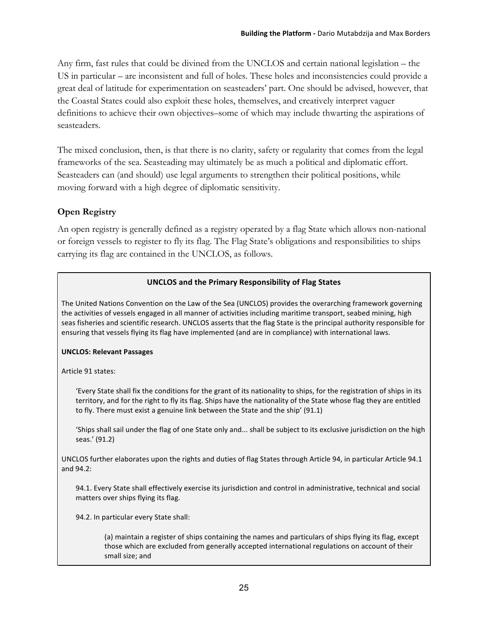Any firm, fast rules that could be divined from the UNCLOS and certain national legislation – the US in particular – are inconsistent and full of holes. These holes and inconsistencies could provide a great deal of latitude for experimentation on seasteaders' part. One should be advised, however, that the Coastal States could also exploit these holes, themselves, and creatively interpret vaguer definitions to achieve their own objectives–some of which may include thwarting the aspirations of seasteaders.

The mixed conclusion, then, is that there is no clarity, safety or regularity that comes from the legal frameworks of the sea. Seasteading may ultimately be as much a political and diplomatic effort. Seasteaders can (and should) use legal arguments to strengthen their political positions, while moving forward with a high degree of diplomatic sensitivity.

## **Open Registry**

An open registry is generally defined as a registry operated by a flag State which allows non-national or foreign vessels to register to fly its flag. The Flag State's obligations and responsibilities to ships carrying its flag are contained in the UNCLOS, as follows.

#### UNCLOS and the Primary Responsibility of Flag States

The United Nations Convention on the Law of the Sea (UNCLOS) provides the overarching framework governing the activities of vessels engaged in all manner of activities including maritime transport, seabed mining, high seas fisheries and scientific research. UNCLOS asserts that the flag State is the principal authority responsible for ensuring that vessels flying its flag have implemented (and are in compliance) with international laws.

#### **UNCLOS: Relevant Passages**

Article 91 states:

'Every State shall fix the conditions for the grant of its nationality to ships, for the registration of ships in its territory, and for the right to fly its flag. Ships have the nationality of the State whose flag they are entitled to fly. There must exist a genuine link between the State and the ship' (91.1)

'Ships shall sail under the flag of one State only and... shall be subject to its exclusive jurisdiction on the high seas.' (91.2)

UNCLOS further elaborates upon the rights and duties of flag States through Article 94, in particular Article 94.1 and 94.2:

94.1. Every State shall effectively exercise its jurisdiction and control in administrative, technical and social matters over ships flying its flag.

94.2. In particular every State shall:

(a) maintain a register of ships containing the names and particulars of ships flying its flag, except those which are excluded from generally accepted international regulations on account of their small size; and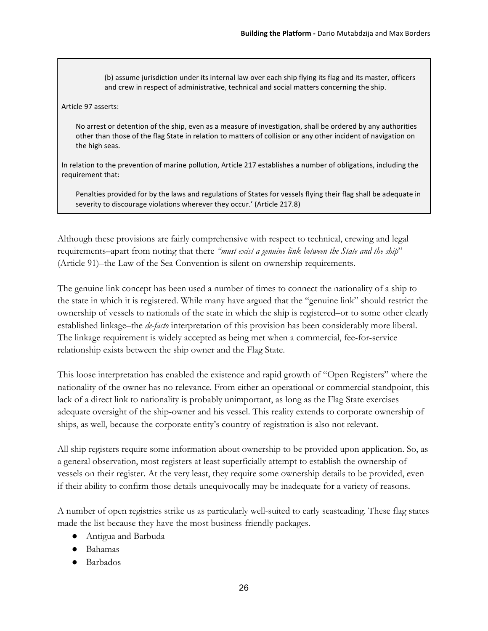(b) assume jurisdiction under its internal law over each ship flying its flag and its master, officers and crew in respect of administrative, technical and social matters concerning the ship.

#### Article 97 asserts:

No arrest or detention of the ship, even as a measure of investigation, shall be ordered by any authorities other than those of the flag State in relation to matters of collision or any other incident of navigation on the high seas.

In relation to the prevention of marine pollution, Article 217 establishes a number of obligations, including the requirement that:

Penalties provided for by the laws and regulations of States for vessels flying their flag shall be adequate in severity to discourage violations wherever they occur.' (Article 217.8)

Although these provisions are fairly comprehensive with respect to technical, crewing and legal requirements–apart from noting that there *"must exist a genuine link between the State and the ship*" (Article 91)–the Law of the Sea Convention is silent on ownership requirements.

The genuine link concept has been used a number of times to connect the nationality of a ship to the state in which it is registered. While many have argued that the "genuine link" should restrict the ownership of vessels to nationals of the state in which the ship is registered–or to some other clearly established linkage–the *de-facto* interpretation of this provision has been considerably more liberal. The linkage requirement is widely accepted as being met when a commercial, fee-for-service relationship exists between the ship owner and the Flag State.

This loose interpretation has enabled the existence and rapid growth of "Open Registers" where the nationality of the owner has no relevance. From either an operational or commercial standpoint, this lack of a direct link to nationality is probably unimportant, as long as the Flag State exercises adequate oversight of the ship-owner and his vessel. This reality extends to corporate ownership of ships, as well, because the corporate entity's country of registration is also not relevant.

All ship registers require some information about ownership to be provided upon application. So, as a general observation, most registers at least superficially attempt to establish the ownership of vessels on their register. At the very least, they require some ownership details to be provided, even if their ability to confirm those details unequivocally may be inadequate for a variety of reasons.

A number of open registries strike us as particularly well-suited to early seasteading. These flag states made the list because they have the most business-friendly packages.

- Antigua and Barbuda
- Bahamas
- Barbados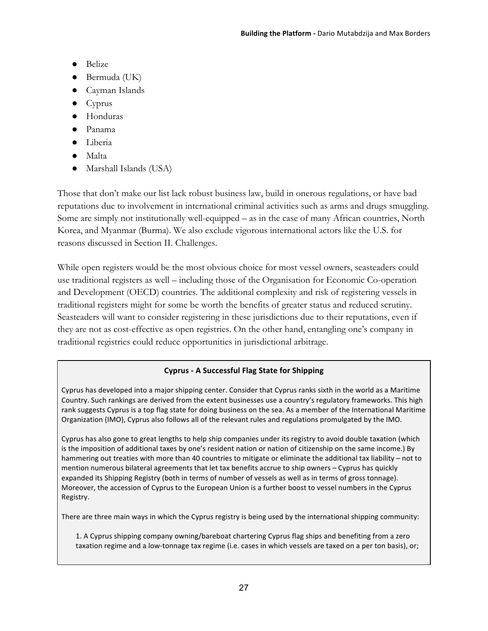- Belize
- $\bullet$  Bermuda (UK)
- Cayman Islands
- Cyprus
- Honduras
- Panama
- Liberia
- Malta
- Marshall Islands (USA)

Those that don't make our list lack robust business law, build in onerous regulations, or have bad reputations due to involvement in international criminal activities such as arms and drugs smuggling. Some are simply not institutionally well-equipped – as in the case of many African countries, North Korea, and Myanmar (Burma). We also exclude vigorous international actors like the U.S. for reasons discussed in Section II. Challenges.

While open registers would be the most obvious choice for most vessel owners, seasteaders could use traditional registers as well – including those of the Organisation for Economic Co-operation and Development (OECD) countries. The additional complexity and risk of registering vessels in traditional registers might for some be worth the benefits of greater status and reduced scrutiny. Seasteaders will want to consider registering in these jurisdictions due to their reputations, even if they are not as cost-effective as open registries. On the other hand, entangling one's company in traditional registries could reduce opportunities in jurisdictional arbitrage.

## Cyprus - A Successful Flag State for Shipping

Cyprus has developed into a major shipping center. Consider that Cyprus ranks sixth in the world as a Maritime Country. Such rankings are derived from the extent businesses use a country's regulatory frameworks. This high rank suggests Cyprus is a top flag state for doing business on the sea. As a member of the International Maritime Organization (IMO), Cyprus also follows all of the relevant rules and regulations promulgated by the IMO.

Cyprus has also gone to great lengths to help ship companies under its registry to avoid double taxation (which is the imposition of additional taxes by one's resident nation or nation of citizenship on the same income.) By hammering out treaties with more than 40 countries to mitigate or eliminate the additional tax liability – not to mention numerous bilateral agreements that let tax benefits accrue to ship owners – Cyprus has quickly expanded its Shipping Registry (both in terms of number of vessels as well as in terms of gross tonnage). Moreover, the accession of Cyprus to the European Union is a further boost to vessel numbers in the Cyprus Registry.

There are three main ways in which the Cyprus registry is being used by the international shipping community:

1. A Cyprus shipping company owning/bareboat chartering Cyprus flag ships and benefiting from a zero taxation regime and a low-tonnage tax regime (i.e. cases in which vessels are taxed on a per ton basis), or;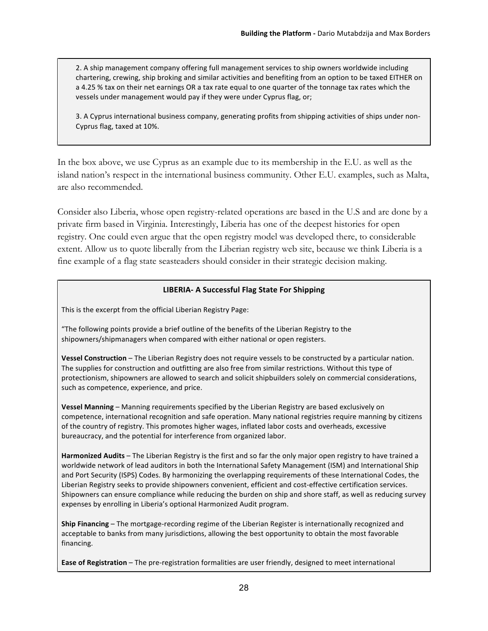2. A ship management company offering full management services to ship owners worldwide including chartering, crewing, ship broking and similar activities and benefiting from an option to be taxed EITHER on a 4.25 % tax on their net earnings OR a tax rate equal to one quarter of the tonnage tax rates which the vessels under management would pay if they were under Cyprus flag, or;

3. A Cyprus international business company, generating profits from shipping activities of ships under non-Cyprus flag, taxed at 10%.

In the box above, we use Cyprus as an example due to its membership in the E.U. as well as the island nation's respect in the international business community. Other E.U. examples, such as Malta, are also recommended.

Consider also Liberia, whose open registry-related operations are based in the U.S and are done by a private firm based in Virginia. Interestingly, Liberia has one of the deepest histories for open registry. One could even argue that the open registry model was developed there, to considerable extent. Allow us to quote liberally from the Liberian registry web site, because we think Liberia is a fine example of a flag state seasteaders should consider in their strategic decision making.

#### **LIBERIA- A Successful Flag State For Shipping**

This is the excerpt from the official Liberian Registry Page:

"The following points provide a brief outline of the benefits of the Liberian Registry to the shipowners/shipmanagers when compared with either national or open registers.

Vessel Construction - The Liberian Registry does not require vessels to be constructed by a particular nation. The supplies for construction and outfitting are also free from similar restrictions. Without this type of protectionism, shipowners are allowed to search and solicit shipbuilders solely on commercial considerations, such as competence, experience, and price.

Vessel Manning – Manning requirements specified by the Liberian Registry are based exclusively on competence, international recognition and safe operation. Many national registries require manning by citizens of the country of registry. This promotes higher wages, inflated labor costs and overheads, excessive bureaucracy, and the potential for interference from organized labor.

Harmonized Audits – The Liberian Registry is the first and so far the only major open registry to have trained a worldwide network of lead auditors in both the International Safety Management (ISM) and International Ship and Port Security (ISPS) Codes. By harmonizing the overlapping requirements of these International Codes, the Liberian Registry seeks to provide shipowners convenient, efficient and cost-effective certification services. Shipowners can ensure compliance while reducing the burden on ship and shore staff, as well as reducing survey expenses by enrolling in Liberia's optional Harmonized Audit program.

**Ship Financing** – The mortgage-recording regime of the Liberian Register is internationally recognized and acceptable to banks from many jurisdictions, allowing the best opportunity to obtain the most favorable financing.

Ease of Registration – The pre-registration formalities are user friendly, designed to meet international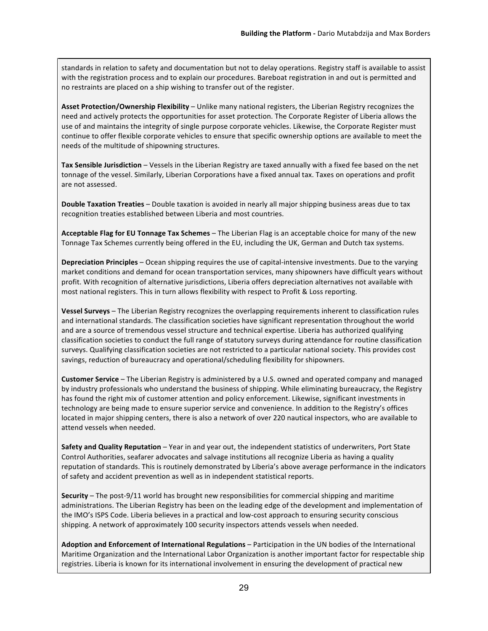standards in relation to safety and documentation but not to delay operations. Registry staff is available to assist with the registration process and to explain our procedures. Bareboat registration in and out is permitted and no restraints are placed on a ship wishing to transfer out of the register.

**Asset Protection/Ownership Flexibility** – Unlike many national registers, the Liberian Registry recognizes the need and actively protects the opportunities for asset protection. The Corporate Register of Liberia allows the use of and maintains the integrity of single purpose corporate vehicles. Likewise, the Corporate Register must continue to offer flexible corporate vehicles to ensure that specific ownership options are available to meet the needs of the multitude of shipowning structures.

Tax Sensible Jurisdiction – Vessels in the Liberian Registry are taxed annually with a fixed fee based on the net tonnage of the vessel. Similarly, Liberian Corporations have a fixed annual tax. Taxes on operations and profit are not assessed.

**Double Taxation Treaties** – Double taxation is avoided in nearly all major shipping business areas due to tax recognition treaties established between Liberia and most countries.

**Acceptable Flag for EU Tonnage Tax Schemes** – The Liberian Flag is an acceptable choice for many of the new Tonnage Tax Schemes currently being offered in the EU, including the UK, German and Dutch tax systems.

Depreciation Principles – Ocean shipping requires the use of capital-intensive investments. Due to the varying market conditions and demand for ocean transportation services, many shipowners have difficult years without profit. With recognition of alternative jurisdictions, Liberia offers depreciation alternatives not available with most national registers. This in turn allows flexibility with respect to Profit & Loss reporting.

Vessel Surveys – The Liberian Registry recognizes the overlapping requirements inherent to classification rules and international standards. The classification societies have significant representation throughout the world and are a source of tremendous vessel structure and technical expertise. Liberia has authorized qualifying classification societies to conduct the full range of statutory surveys during attendance for routine classification surveys. Qualifying classification societies are not restricted to a particular national society. This provides cost savings, reduction of bureaucracy and operational/scheduling flexibility for shipowners.

**Customer Service** – The Liberian Registry is administered by a U.S. owned and operated company and managed by industry professionals who understand the business of shipping. While eliminating bureaucracy, the Registry has found the right mix of customer attention and policy enforcement. Likewise, significant investments in technology are being made to ensure superior service and convenience. In addition to the Registry's offices located in major shipping centers, there is also a network of over 220 nautical inspectors, who are available to attend vessels when needed.

Safety and Quality Reputation – Year in and year out, the independent statistics of underwriters, Port State Control Authorities, seafarer advocates and salvage institutions all recognize Liberia as having a quality reputation of standards. This is routinely demonstrated by Liberia's above average performance in the indicators of safety and accident prevention as well as in independent statistical reports.

Security – The post-9/11 world has brought new responsibilities for commercial shipping and maritime administrations. The Liberian Registry has been on the leading edge of the development and implementation of the IMO's ISPS Code. Liberia believes in a practical and low-cost approach to ensuring security conscious shipping. A network of approximately 100 security inspectors attends vessels when needed.

**Adoption and Enforcement of International Regulations** – Participation in the UN bodies of the International Maritime Organization and the International Labor Organization is another important factor for respectable ship registries. Liberia is known for its international involvement in ensuring the development of practical new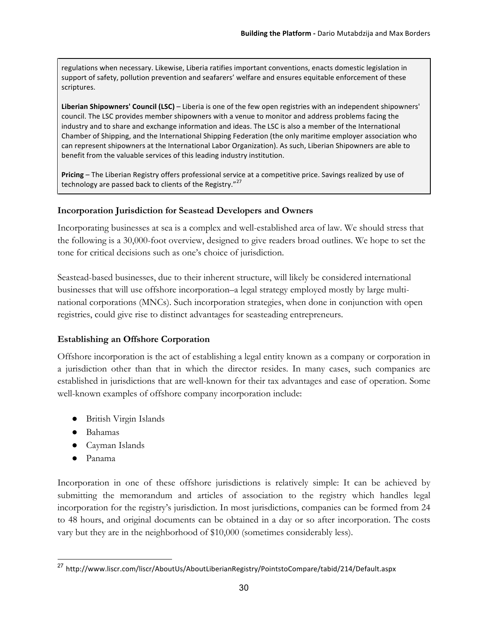regulations when necessary. Likewise, Liberia ratifies important conventions, enacts domestic legislation in support of safety, pollution prevention and seafarers' welfare and ensures equitable enforcement of these scriptures.

Liberian Shipowners' Council (LSC) – Liberia is one of the few open registries with an independent shipowners' council. The LSC provides member shipowners with a venue to monitor and address problems facing the industry and to share and exchange information and ideas. The LSC is also a member of the International Chamber of Shipping, and the International Shipping Federation (the only maritime employer association who can represent shipowners at the International Labor Organization). As such, Liberian Shipowners are able to benefit from the valuable services of this leading industry institution.

Pricing – The Liberian Registry offers professional service at a competitive price. Savings realized by use of technology are passed back to clients of the Registry."<sup>27</sup>

#### **Incorporation Jurisdiction for Seastead Developers and Owners**

Incorporating businesses at sea is a complex and well-established area of law. We should stress that the following is a 30,000-foot overview, designed to give readers broad outlines. We hope to set the tone for critical decisions such as one's choice of jurisdiction.

Seastead-based businesses, due to their inherent structure, will likely be considered international businesses that will use offshore incorporation–a legal strategy employed mostly by large multinational corporations (MNCs). Such incorporation strategies, when done in conjunction with open registries, could give rise to distinct advantages for seasteading entrepreneurs.

## **Establishing an Offshore Corporation**

Offshore incorporation is the act of establishing a legal entity known as a company or corporation in a jurisdiction other than that in which the director resides. In many cases, such companies are established in jurisdictions that are well-known for their tax advantages and ease of operation. Some well-known examples of offshore company incorporation include:

- British Virgin Islands
- Bahamas
- Cayman Islands
- Panama

Incorporation in one of these offshore jurisdictions is relatively simple: It can be achieved by submitting the memorandum and articles of association to the registry which handles legal incorporation for the registry's jurisdiction. In most jurisdictions, companies can be formed from 24 to 48 hours, and original documents can be obtained in a day or so after incorporation. The costs vary but they are in the neighborhood of \$10,000 (sometimes considerably less).

 <sup>27</sup> http://www.liscr.com/liscr/AboutUs/AboutLiberianRegistry/PointstoCompare/tabid/214/Default.aspx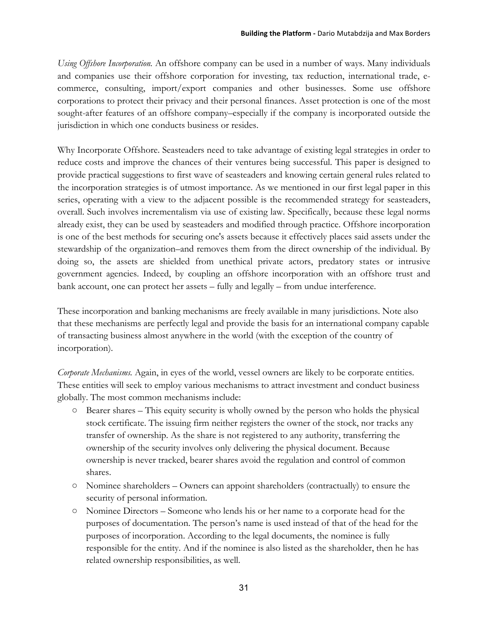*Using Offshore Incorporation.* An offshore company can be used in a number of ways. Many individuals and companies use their offshore corporation for investing, tax reduction, international trade, ecommerce, consulting, import/export companies and other businesses. Some use offshore corporations to protect their privacy and their personal finances. Asset protection is one of the most sought-after features of an offshore company–especially if the company is incorporated outside the jurisdiction in which one conducts business or resides.

Why Incorporate Offshore. Seasteaders need to take advantage of existing legal strategies in order to reduce costs and improve the chances of their ventures being successful. This paper is designed to provide practical suggestions to first wave of seasteaders and knowing certain general rules related to the incorporation strategies is of utmost importance. As we mentioned in our first legal paper in this series, operating with a view to the adjacent possible is the recommended strategy for seasteaders, overall. Such involves incrementalism via use of existing law. Specifically, because these legal norms already exist, they can be used by seasteaders and modified through practice. Offshore incorporation is one of the best methods for securing one's assets because it effectively places said assets under the stewardship of the organization–and removes them from the direct ownership of the individual. By doing so, the assets are shielded from unethical private actors, predatory states or intrusive government agencies. Indeed, by coupling an offshore incorporation with an offshore trust and bank account, one can protect her assets – fully and legally – from undue interference.

These incorporation and banking mechanisms are freely available in many jurisdictions. Note also that these mechanisms are perfectly legal and provide the basis for an international company capable of transacting business almost anywhere in the world (with the exception of the country of incorporation).

*Corporate Mechanisms.* Again, in eyes of the world, vessel owners are likely to be corporate entities. These entities will seek to employ various mechanisms to attract investment and conduct business globally. The most common mechanisms include:

- Bearer shares This equity security is wholly owned by the person who holds the physical stock certificate. The issuing firm neither registers the owner of the stock, nor tracks any transfer of ownership. As the share is not registered to any authority, transferring the ownership of the security involves only delivering the physical document. Because ownership is never tracked, bearer shares avoid the regulation and control of common shares.
- Nominee shareholders Owners can appoint shareholders (contractually) to ensure the security of personal information.
- Nominee Directors Someone who lends his or her name to a corporate head for the purposes of documentation. The person's name is used instead of that of the head for the purposes of incorporation. According to the legal documents, the nominee is fully responsible for the entity. And if the nominee is also listed as the shareholder, then he has related ownership responsibilities, as well.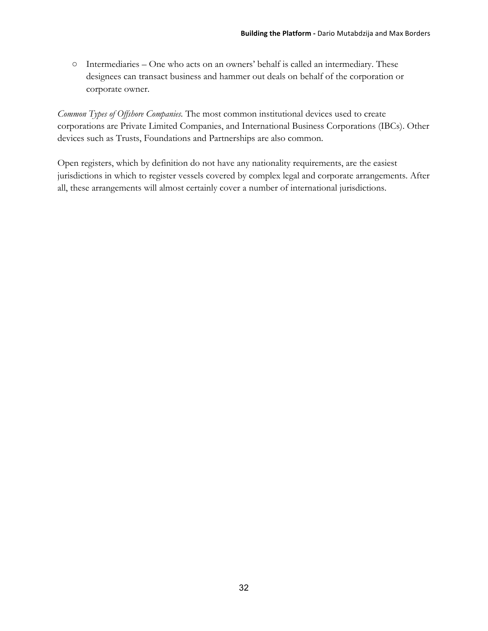○ Intermediaries – One who acts on an owners' behalf is called an intermediary. These designees can transact business and hammer out deals on behalf of the corporation or corporate owner.

*Common Types of Offshore Companies.* The most common institutional devices used to create corporations are Private Limited Companies, and International Business Corporations (IBCs). Other devices such as Trusts, Foundations and Partnerships are also common.

Open registers, which by definition do not have any nationality requirements, are the easiest jurisdictions in which to register vessels covered by complex legal and corporate arrangements. After all, these arrangements will almost certainly cover a number of international jurisdictions.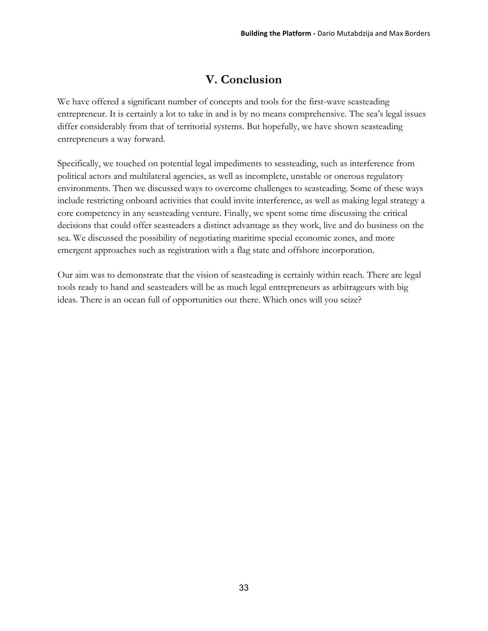# **V. Conclusion**

We have offered a significant number of concepts and tools for the first-wave seasteading entrepreneur. It is certainly a lot to take in and is by no means comprehensive. The sea's legal issues differ considerably from that of territorial systems. But hopefully, we have shown seasteading entrepreneurs a way forward.

Specifically, we touched on potential legal impediments to seasteading, such as interference from political actors and multilateral agencies, as well as incomplete, unstable or onerous regulatory environments. Then we discussed ways to overcome challenges to seasteading. Some of these ways include restricting onboard activities that could invite interference, as well as making legal strategy a core competency in any seasteading venture. Finally, we spent some time discussing the critical decisions that could offer seasteaders a distinct advantage as they work, live and do business on the sea. We discussed the possibility of negotiating maritime special economic zones, and more emergent approaches such as registration with a flag state and offshore incorporation.

Our aim was to demonstrate that the vision of seasteading is certainly within reach. There are legal tools ready to hand and seasteaders will be as much legal entrepreneurs as arbitrageurs with big ideas. There is an ocean full of opportunities out there. Which ones will you seize?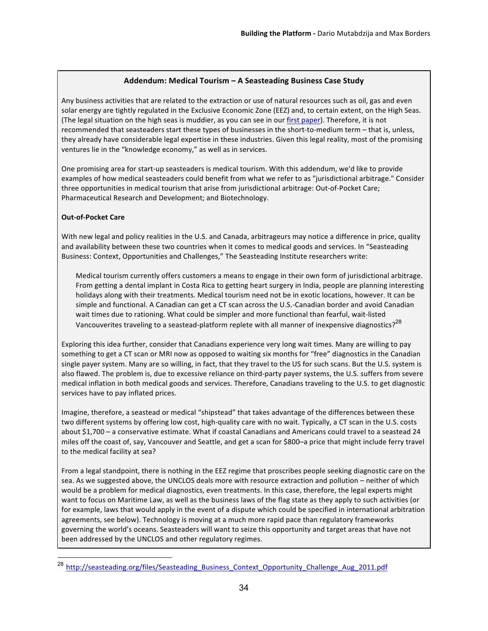#### Addendum: Medical Tourism – A Seasteading Business Case Study

Any business activities that are related to the extraction or use of natural resources such as oil, gas and even solar energy are tightly regulated in the Exclusive Economic Zone (EEZ) and, to certain extent, on the High Seas. (The legal situation on the high seas is muddier, as you can see in our first paper). Therefore, it is not recommended that seasteaders start these types of businesses in the short-to-medium term – that is, unless, they already have considerable legal expertise in these industries. Given this legal reality, most of the promising ventures lie in the "knowledge economy," as well as in services.

One promising area for start-up seasteaders is medical tourism. With this addendum, we'd like to provide examples of how medical seasteaders could benefit from what we refer to as "jurisdictional arbitrage." Consider three opportunities in medical tourism that arise from jurisdictional arbitrage: Out-of-Pocket Care; Pharmaceutical Research and Development; and Biotechnology.

#### **Out-of-Pocket Care**

With new legal and policy realities in the U.S. and Canada, arbitrageurs may notice a difference in price, quality and availability between these two countries when it comes to medical goods and services. In "Seasteading Business: Context, Opportunities and Challenges," The Seasteading Institute researchers write:

Medical tourism currently offers customers a means to engage in their own form of jurisdictional arbitrage. From getting a dental implant in Costa Rica to getting heart surgery in India, people are planning interesting holidays along with their treatments. Medical tourism need not be in exotic locations, however. It can be simple and functional. A Canadian can get a CT scan across the U.S.-Canadian border and avoid Canadian wait times due to rationing. What could be simpler and more functional than fearful, wait-listed Vancouverites traveling to a seastead-platform replete with all manner of inexpensive diagnostics?<sup>28</sup>

Exploring this idea further, consider that Canadians experience very long wait times. Many are willing to pay something to get a CT scan or MRI now as opposed to waiting six months for "free" diagnostics in the Canadian single payer system. Many are so willing, in fact, that they travel to the US for such scans. But the U.S. system is also flawed. The problem is, due to excessive reliance on third-party payer systems, the U.S. suffers from severe medical inflation in both medical goods and services. Therefore, Canadians traveling to the U.S. to get diagnostic services have to pay inflated prices.

Imagine, therefore, a seastead or medical "shipstead" that takes advantage of the differences between these two different systems by offering low cost, high-quality care with no wait. Typically, a CT scan in the U.S. costs about \$1,700 - a conservative estimate. What if coastal Canadians and Americans could travel to a seastead 24 miles off the coast of, say, Vancouver and Seattle, and get a scan for \$800-a price that might include ferry travel to the medical facility at sea?

From a legal standpoint, there is nothing in the EEZ regime that proscribes people seeking diagnostic care on the sea. As we suggested above, the UNCLOS deals more with resource extraction and pollution – neither of which would be a problem for medical diagnostics, even treatments. In this case, therefore, the legal experts might want to focus on Maritime Law, as well as the business laws of the flag state as they apply to such activities (or for example, laws that would apply in the event of a dispute which could be specified in international arbitration agreements, see below). Technology is moving at a much more rapid pace than regulatory frameworks governing the world's oceans. Seasteaders will want to seize this opportunity and target areas that have not been addressed by the UNCLOS and other regulatory regimes.

http://seasteading.org/files/Seasteading\_Business\_Context\_Opportunity\_Challenge\_Aug\_2011.pdf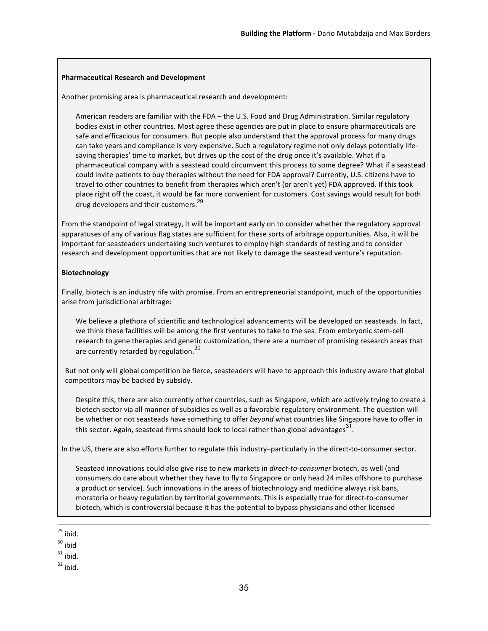#### **Pharmaceutical Research and Development**

Another promising area is pharmaceutical research and development:

American readers are familiar with the FDA - the U.S. Food and Drug Administration. Similar regulatory bodies exist in other countries. Most agree these agencies are put in place to ensure pharmaceuticals are safe and efficacious for consumers. But people also understand that the approval process for many drugs can take years and compliance is very expensive. Such a regulatory regime not only delays potentially lifesaving therapies' time to market, but drives up the cost of the drug once it's available. What if a pharmaceutical company with a seastead could circumvent this process to some degree? What if a seastead could invite patients to buy therapies without the need for FDA approval? Currently, U.S. citizens have to travel to other countries to benefit from therapies which aren't (or aren't yet) FDA approved. If this took place right off the coast, it would be far more convenient for customers. Cost savings would result for both drug developers and their customers.<sup>29</sup>

From the standpoint of legal strategy, it will be important early on to consider whether the regulatory approval apparatuses of any of various flag states are sufficient for these sorts of arbitrage opportunities. Also, it will be important for seasteaders undertaking such ventures to employ high standards of testing and to consider research and development opportunities that are not likely to damage the seastead venture's reputation.

#### **Biotechnology**

Finally, biotech is an industry rife with promise. From an entrepreneurial standpoint, much of the opportunities arise from jurisdictional arbitrage:

We believe a plethora of scientific and technological advancements will be developed on seasteads. In fact, we think these facilities will be among the first ventures to take to the sea. From embryonic stem-cell research to gene therapies and genetic customization, there are a number of promising research areas that are currently retarded by regulation.<sup>30</sup>

But not only will global competition be fierce, seasteaders will have to approach this industry aware that global competitors may be backed by subsidy.

Despite this, there are also currently other countries, such as Singapore, which are actively trying to create a biotech sector via all manner of subsidies as well as a favorable regulatory environment. The question will be whether or not seasteads have something to offer beyond what countries like Singapore have to offer in this sector. Again, seastead firms should look to local rather than global advantages<sup>31</sup>.

In the US, there are also efforts further to regulate this industry–particularly in the direct-to-consumer sector.

Seastead innovations could also give rise to new markets in *direct-to-consumer* biotech, as well (and consumers do care about whether they have to fly to Singapore or only head 24 miles offshore to purchase a product or service). Such innovations in the areas of biotechnology and medicine always risk bans, moratoria or heavy regulation by territorial governments. This is especially true for direct-to-consumer biotech, which is controversial because it has the potential to bypass physicians and other licensed

 $29$  ibid.

 $32$  ibid.

 $30$  ibid

 $31$  ibid.